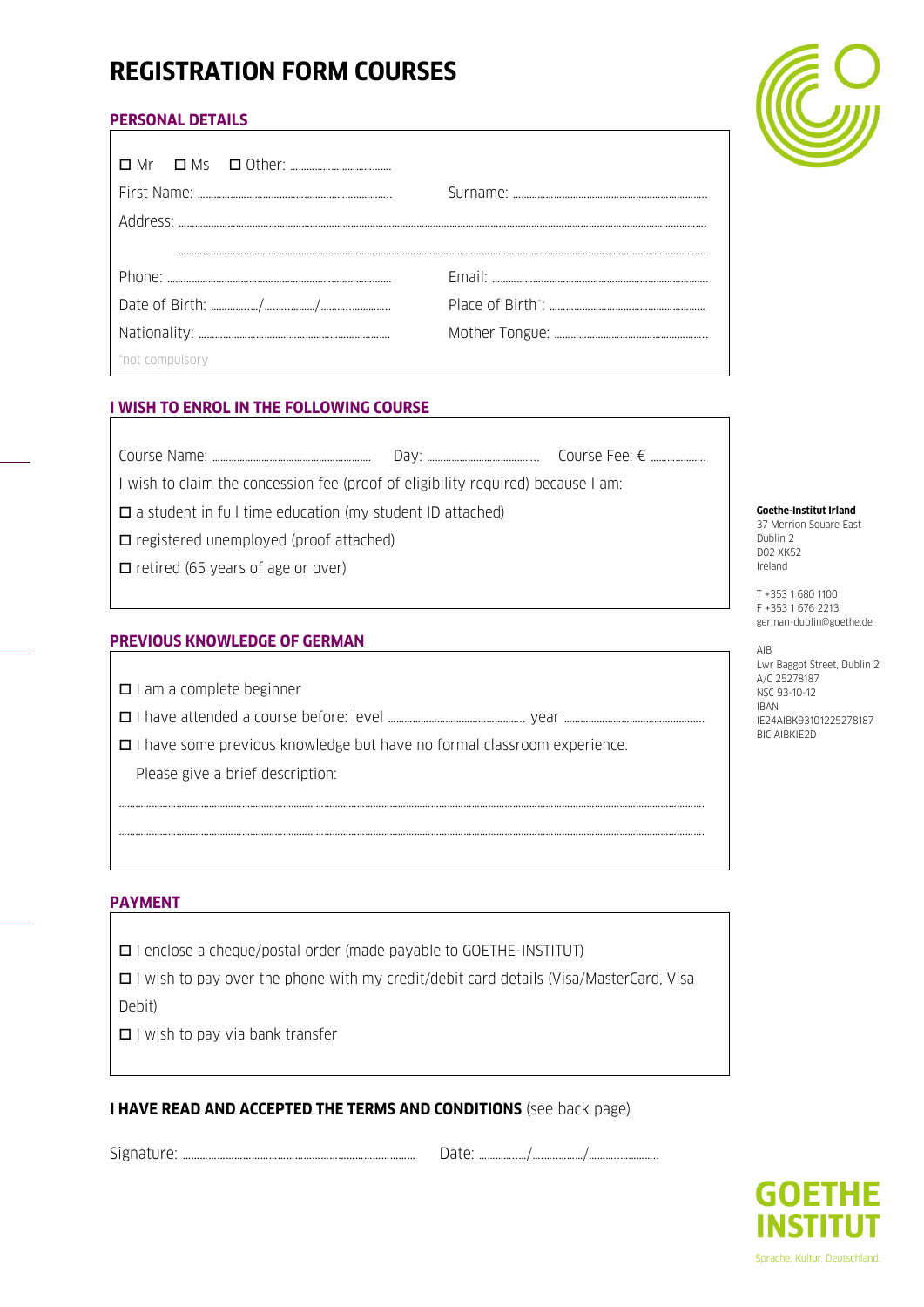# **REGISTRATION FORM COURSES**

# **PERSONAL DETAILS**

| *not compulsory |  |
|-----------------|--|

# **I WISH TO ENROL IN THE FOLLOWING COURSE**

| Course<br>N RI<br>. |  | $\bigcap$ |
|---------------------|--|-----------|
|---------------------|--|-----------|

I wish to claim the concession fee (proof of eligibility required) because I am:

 $\square$  a student in full time education (my student ID attached)

 $\square$  registered unemployed (proof attached)

 $\Box$  retired (65 years of age or over)

# **PREVIOUS KNOWLEDGE OF GERMAN**

 $\Box$  I am a complete beginner

I have attended a course before: level ………………………………………….. year ……………………………………….…..

 $\Box$  I have some previous knowledge but have no formal classroom experience.

Please give a brief description:

# **PAYMENT**

I enclose a cheque/postal order (made payable to GOETHE-INSTITUT)

 $\Box$  I wish to pay over the phone with my credit/debit card details (Visa/MasterCard, Visa Debit)

…………………………………………………………………………………………………………………………………………………………………………………………….

…………………………………………………………………………………………………………………………………………………………………………………………….

 $\Box$  I wish to pay via bank transfer

# **I HAVE READ AND ACCEPTED THE TERMS AND CONDITIONS** (see back page)

Signature: ……………………………………………………………………… Date: …………..…/….…..………/………..…………..

#### **Goethe-Institut Irland** 37 Merrion Square East

Dublin 2 D02 XK52 Ireland

T +353 1 680 1100 F +353 1 676 2213 german-dublin@goethe.de

AIB Lwr Baggot Street, Dublin 2 A/C 25278187 NSC 93-10-12 IBAN IE24AIBK93101225278187 BIC AIBKIE2D

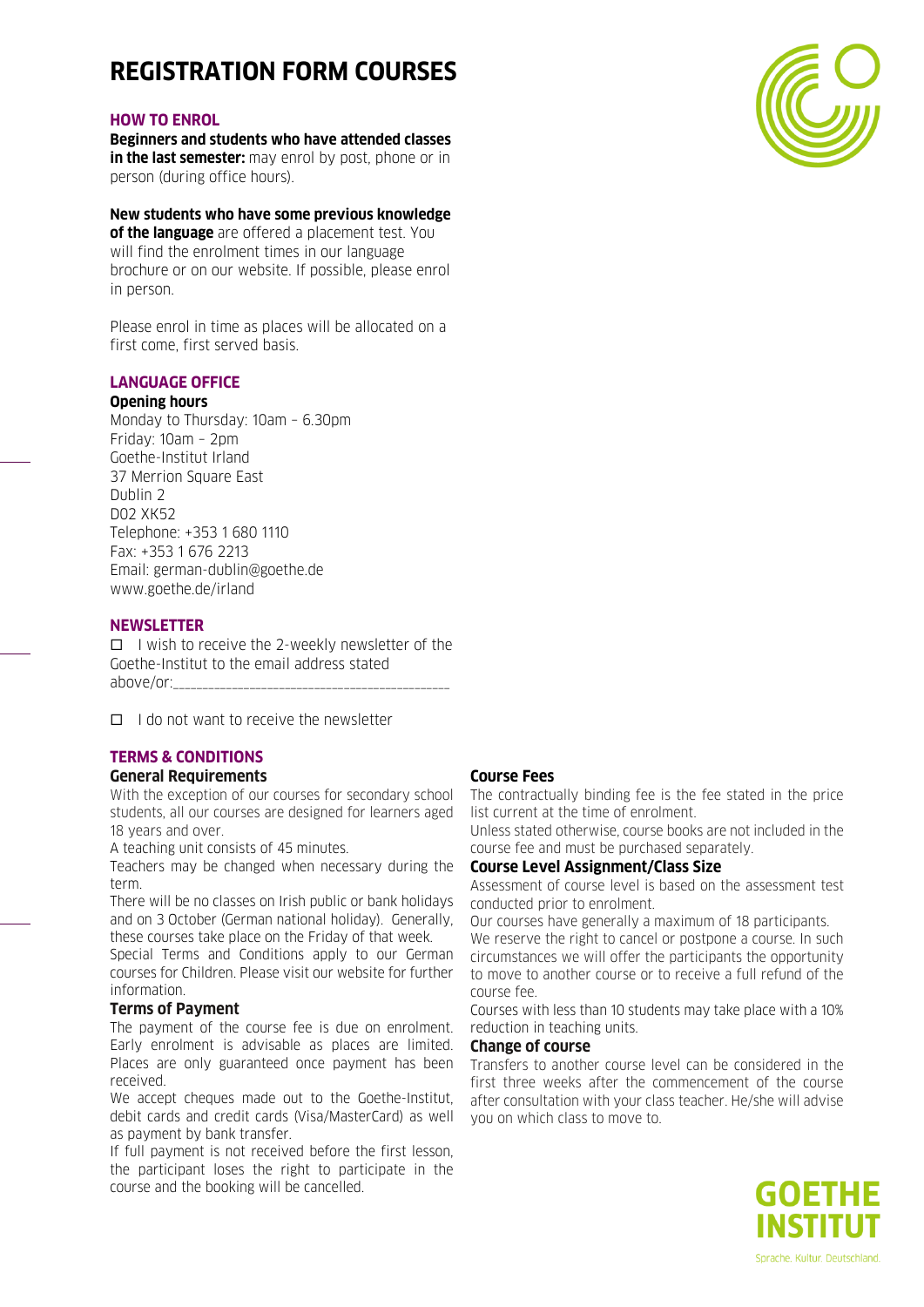# **REGISTRATION FORM COURSES**

#### **HOW TO ENROL**

**Beginners and students who have attended classes in the last semester:** may enrol by post, phone or in person (during office hours).

#### **New students who have some previous knowledge**

**of the language** are offered a placement test. You will find the enrolment times in our language brochure or on our website. If possible, please enrol in person.

Please enrol in time as places will be allocated on a first come, first served basis.

# **LANGUAGE OFFICE**

#### **Opening hours**

Monday to Thursday: 10am – 6.30pm Friday: 10am – 2pm Goethe-Institut Irland 37 Merrion Square East Dublin 2 D02 XK52 Telephone: +353 1 680 1110 Fax: +353 1 676 2213 Email: german-dublin@goethe.de www.goethe.de/irland

#### **NEWSLETTER**

 $\Box$  I wish to receive the 2-weekly newsletter of the Goethe-Institut to the email address stated above/or:

 $\Box$  I do not want to receive the newsletter

# **TERMS & CONDITIONS**

# **General Requirements**

With the exception of our courses for secondary school students, all our courses are designed for learners aged 18 years and over.

A teaching unit consists of 45 minutes.

Teachers may be changed when necessary during the term.

There will be no classes on Irish public or bank holidays and on 3 October (German national holiday). Generally, these courses take place on the Friday of that week.

Special Terms and Conditions apply to our German courses for Children. Please visit our website for further information.

## **Terms of Payment**

The payment of the course fee is due on enrolment. Early enrolment is advisable as places are limited. Places are only guaranteed once payment has been received.

We accept cheques made out to the Goethe-Institut, debit cards and credit cards (Visa/MasterCard) as well as payment by bank transfer.

If full payment is not received before the first lesson, the participant loses the right to participate in the course and the booking will be cancelled.

# **Course Fees**

The contractually binding fee is the fee stated in the price list current at the time of enrolment.

Unless stated otherwise, course books are not included in the course fee and must be purchased separately.

## **Course Level Assignment/Class Size**

Assessment of course level is based on the assessment test conducted prior to enrolment.

Our courses have generally a maximum of 18 participants. We reserve the right to cancel or postpone a course. In such circumstances we will offer the participants the opportunity to move to another course or to receive a full refund of the course fee.

Courses with less than 10 students may take place with a 10% reduction in teaching units.

#### **Change of course**

Transfers to another course level can be considered in the first three weeks after the commencement of the course after consultation with your class teacher. He/she will advise you on which class to move to.